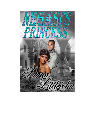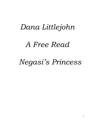## *Dana Littlejohn*

## *A Free Read*

# *Negasi's Princess*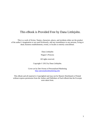### This eBook is Provided Free by Dana Littlejohn.

This is a work of fiction. Names, characters, places, and incidents either are the product of the author's imagination or are used fictitiously, and any resemblance to any persons, living or dead, business establishments, events, or locales is entirely coincidental.

Dana Littlejohn

Negasi's Princess

All rights reserved.

Copyright © 2012 by Dana Littlejohn.

Cover art by Dee Owens of Personalized Marketing [http://personalizedmarketing.info](http://personalizedmarketing.info/)

This eBook and all material is Copyrighted and may not be Shared, Distributed or Printed without express permission from the Author and Publishers of Each eBook that the Excerpts were taken from.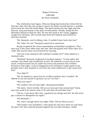#### Negasi's Princess **A free read** By Dana Littlejohn

The celebration had begun. Princess Kengi had waited her whole life for this day. Now that she was of age to marry her father would find her a suitable prince and her new life would begin. The party lasted into the night and she danced, sang and drank to the point of exhaustion. Finally, Kengi left the festivities behind to find her bed. On the way back to her rooms, giggling caught her attention. She turned away from the hallway and toward its direction instead.

"No, Soonyah, you're telling a tale. It couldn't have been that bad."

"No, Talia, I'm not," Soonyah answered in monotone.

Kengi recognized the voices immediately as Kamilah's daughters. They were just a few years older than she was. She had played with them often as a child. She moved closer and strained her hearing.

"Are you truly saying he did *nothing* to satisfy you?" Talia asked in a shocked voice.

"Nothing!" Soonyah confirmed in hushed urgency. "It was awful. His member was small and insufficient at best. He boasted so much about how much I would scream for joy under his touch and prowess that I looked forward to this night. I was so disgusted at his attempt to make good on his promise that I was tempted to run from his room naked just to get away from him."

"You didn't?"

"No, he looked so upset that he couldn't perform that I couldn't. He offered to use his mouth to pleasure me so I let him."

"How was that?"

"He couldn't even do that right," Soonyah grumbled.

"Oh sister, that's terrible. Did you at least give him instruction? Some men just need to be shown what to do and then do well after that."

"Oh no, I was done after that. I gathered my things and left. He will never get a chance to disappoint me again."

"Oh Soonyah…"

"No, that's enough about my night, Talia. Tell me about yours."

"Oh! Tombe' was wonderful. I had spied his tool once when he rose from the pool. The thin material pressed against his wet skin leaving a visible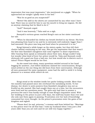impression that was most impressive," she mentioned on a giggle. "When he approached me tonight I gladly went to his bed."

"Was he as good as you suspected?"

"Better! His skill in the sheets are unmatched by any other man I have had. There was no need for him to use his mouth to bring me orgasm. He did so anyway claiming that he liked to do it."

"And?" Soonyah urged.

"And it was heavenly," Talia said on a sigh.

Soonyah's envious groan reached Kengi's ears as her sister continued her tale.

"When he discarded his clothes my breath hitched in my throat. His form was pleasing from head to toe and he is extremely well endowed, bigger than I had assumed. His piece was long and hard when he presented it to me."

Kengi listened a while longer as the sisters spoke, but then left their chatter behind continuing on her way. She got the impression that that wasn't the first time Kamilah's daughters had come together to share experiences. After hearing them speak so intimately about their men, Kengi couldn't help but wonder what kind of lover her prince would be. Talia and Soonyah could obviously tell a good one from a bad one, but how would she to discern such a talent? Prince Negasi would be her first.

As she eased into sleep, many questions swirled around in her head begging for answers. Just before darkness claimed her consciousness, Kengi's mind settled on the one thing she did learn from their conversation. Although all men possessed the same equipment, some had the skill to wield it to bring pleasure to a woman while others do not.

\*\*\*\*

Kengi stood at the window inside her parlor looking outside. More than two months had passed since she overheard the tantalizing words. To her dismay, her desire to seek answers from Kamilah's daughters was not as fruitful as she wanted. She had caught them one at a time, but the encounters were brief and her questions many. The girls only had time to answer a precious few and it was hardly enough to ease Kengi's inquisitive mind. With her wedding to the prince in just a few days, the staff was busier than ever and she only saw them again in passing. Frustration over her lack of knowledge consumed her every thought. As the prince's procession enter the gates of her kingdom and sighed.

"Please don't be sad, princess," a woman said from behind her. "Marriage to this prince won't be all that bad. I took my husband when I was just a few years older than you are now and we are still very happy together."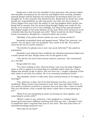Kengi sent a look over her shoulder to her governess. Her parents asked that Kamilah accompany her for and her and Negasi's first meeting. Kamilah mistook Kengi's distant behavior for melancholy not knowing where her true thoughts lie. It was curiosity that distracted her. Kengi had no doubt she could handle her responsibilities as wife and queen, but how was she to know if Prince Negasi even *knew* his? His ability to rule his kingdom didn't bother her. Kengi had to assume that the present king thought Negasi was ready for the throne or he would not turn it over willingly, but what of his spousal duties? Was Negasi taught in the same fashion as she was? What if he turned out to be a letdown like that boy Soonyah was with? What would she do then? Kengi's brows scrunched in thought for a moment before she turned.

"Kamilah, if my prince doesn't please me can I choose another?"

Kemailah stummbled back and gasped aloud. "What? No, princess, you cannot. You are given only one husband. Your union is for life. Your prince must die for you to receive another."

"So whether he pleases me or not I am stuck with him?" she asked in amazement.

Kamilah's eyes widened then suddenly her shocked expression faded and a smile spread her lips. Kengi's brow rose as she gazed at her.

"You kid far too much with serious matters, princess," she commented on a chuckle.

Kengi rolled her eyes.

"You have nothing to fear, Princess Kengi. Last year the king of Nigeria came to visit to speak to our good king of a possible match with you. Prince Negasi was already of age to marry, but you were not. I caught a glimpse of him then while he sat with your father. He is an extremely handsome youth."

"But Kamilah, doesn't it take more than outward beauty to be happy in a marriage?"

"Yes, princess, it does, but if it's bad behavior you fear, you worry needlessly. Many women have learned to steer their men into better habits. If your prince conducts yourself in a manner that you don't like, I have no doubt that you will devise a way to guide him down a path that is more pleasing to you."

"What if it's not something he picks up during our time together, but something he arrives with?"

"Before I came to you, princess, I was assigned to a student whose former governess had a different teaching style from my own. I thought it best to implement what I required from him at very start. This way there were no misunderstandings along the way."

"How did you do that?"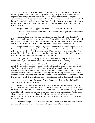"I very gently conveyed my desires and when he complied I praised him for doing well. The same tactic may work with your prince. Have no fear in expressing what you want from him. He will be your husband. For your relationship to work compromises will have to be made that will make you both happy." Kamilah chuckled and lifted Kengi's chin. "You were groomed to rule a nation, princess, surely you can handle one man especially one that will love you want you."

Kengi smiled then hugged her teacher. "Thank you, Kamilah."

"You are very welcome. Now come, it is time to make you presentable for your first meeting."

Kengi nodded and followed the older woman. She allowed Kamilah's helpers to wash and dress her then do her hair while she quietly contemplated her strategy. When the women were done and Kamilah was satisfied with their efforts, she turned the mirror about so Kengi could see the end result.

Kengi smiled at her image. Tiny jewels decorated the long single braid in her hair. A shimmering golden powder decorated her eye lids and she liked the ruby tint on her lips. The dress she wore lifted her breast and tapered at the waist. The skirt flowed loosely around her rounded hips as she twirled around playfully. Kamilah giggled and clapped her hands.

"I am glad that you are pleased. I will see where the prince is now and bring him to you. Return to your outer room when you are ready."

Kengi nodded and stood before the mirror solidifying the plan in her mind. Going to her dresser, Kengi searched through a large jewelry box until she found the right necklace. Placing it around her neck, she adjusted her breast so that the stone would sit between them. She headed for the door but stopped short holding the handle. Turning around, Kengi rushed back to her dresser, made one more last minute change to her wardrobe then went back to the parlor to wait. It wasn't long before Kamilah open the doors and walked in.

"My princess, may I present Prince Negasi of Nigeria," Kamilah said extending her hand to the door.

Kengi stood. Moments later the prince entered and her breath caught. Negasi was so handsome that she was more inclined to call him beautiful. Way taller than her own five foot two inches, she had to look up into his large brown eyes. His rich, chocolate colored skin was smooth and unmarked. White teeth gleamed at her when he smiled. Kengi was pleased with his outward appearance to be sure, but what of the qualities that could not be seen. They mattered, too.

"Princess Kengi, it is a pleasure to finally meet you. You are as beautiful as your father has boasted," he said lifting her hand to his lips.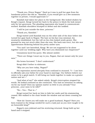"Thank you, Prince Negasi." Hard as it was to pull her gaze from the handsome prince she did so. "Kamilah, if you would give us a few moments together in private, I would appreciate it."

Kamilah had taken her place in the background. She looked shaken by Kengi's request. Kengi turned her back to the prince to block the look meant only for her governess. The pleading expression she hoped to communicate worked. Kamilah shoulders slumped in defeat and she nodded.

"I will be just outside the door, princess."

"Thank you, Kamilah."

Kengi waited until Kamilah was on the other side of the door before she turned her gaze back to Negasi. The hair on his face was minimal, his mustache established, but the tuft on his chin looked newly grown. She guessed he was not much older than she was. His back was erect, but she saw apprehension flickering behind his pretty amber eyes.

"You and I are betrothed, Kengi. We are not supposed to be alone together until our wedding night. Why have you dismissed our chaperone?"

Uneasiness laced his query. She almost smiled.

"There are things I must say to you, Negasi, that are meant only for your ears."

His brows furrowed. "I don't understand."

Kengi didn't bother to elaborate.

"Why are you here today, Negasi?"

His expression moved abruptly from confused to stunned. "I— I am here to officially ask your father for your hand in marriage. Our fathers believe our union to be a good match. It will bring our lands together to make us a greater nation and we—"

"And what of me?" she asked calmly. Kengi's interruption stopped his words. He looked confused as she continued. "You had no intention on asking *me* for my hand? Does my opinion matter so little to you already? Your princess…your soon to be wife?"

"No— Yes— That is—"

Kengi turned her back on him to hide her smile and his stammering ceased. She walked to the chair beside the window and sat down crossing her legs.

"How do I know you will make me a good husband, Negasi? Have you been trained in the things needed for such a task just as you were taught to be an honorable king?"

Negasi's eyes widened and his stuttering returned. Kengi held up her hand and it stopped.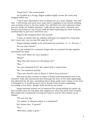"Come here," she commanded.

As if pulled by a string, Negasi walked rigidly across the room and stopped before her.

"I have been educated in how to please you as a man, Negasi," she told him. "I will stroke and suck your cock until it explodes in my mouth sending your screams of joy to the four walls. You will find even more pleasure when you are inside my hidden chamber. I will roll my hips when I beneath you, bounce my bottom on top of your staff all while squeezing my inner muscles rhythmically to pull your seed from you."

Negasi's jaw dropped when she paused.

"I have no doubt that my abilities will keep you happy for a long time, but I must ask, can you say the same for me?"

Negasi blinked rapidly as he processed her question. "I— I— No one—"

"So you don't know?"

His jaw bobbed for a moment longer then he pressed his lips together and shook his head.

"Very well. Show me your member."

"What?"

"How else will I know if it will please me?"

"But…"

"Are you ashamed of it?" she asked with a raised brow.

"No," he answered quickly.

"Then you should *want* to flaunt it before your princess."

She had an idea of what to expect if Talia's brief description was to be honored. Talia also mentioned that although the form of the male appendage was identical for all men, something about them made each unique to the man it belonged to. It would be up to her to decide if she found it appealing. According to her sister, Kengi's body would let her know.

Kengi watched intently as he loosened the string holding his pants up and couldn't stop the soft gasp that slipped out when his penis was revealed. She inspected it quizzically turning her head to and fro then looked up at Negasi.

"It's not very big."

"It's asleep. It will grow when it is awakened."

Her brows rose. "It grows?"

"Yes."

"Well then, make it grow."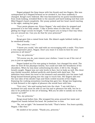Negasi gripped the limp tissue with his thumb and two fingers. She was unimpressed as it flopped forward as he stroked it, but then suddenly it changed. Kengi's eyes widened. She was fascinated by its quick transformation from weak looking, wrinkled flesh to the smooth and hard looking tool that now filled Negasi's hand completely. Her pussy pulsed and her heart raced reacting to the sight, making her gasp.

"Your penis pleases me, Prince Negasi," she said when he stopped and presented it to her fully awake. "I like it better when it's like this," she said gliding her finger across its length. "I will require you to keep it that way when you are around me. Can you do that for your princess?"

" $I - I^*$ 

Kengi gave him a raised brow look. His Adam's apple bobbed visibly as he swallowed loudly.

"Yes, princess, I can."

"I knew you could," she said with an encouraging with a smile. "You have a very impressive piece, Negasi. Don't you want it to look its best for your princess at all times?"

"Yes, my princess."

"Of course you do, now remove your clothes. I want to see if the rest of you is just as appealing."

Negasi looked as if he was going to hesitate, but changed his mind. The shirt he wore fit his physique loosely, but could not hide the broadness of his shoulders. When he was done unbuttoning his shirt, it fell to the. Kengi's breath caught. Negasi was not only lovely in face, but in body as well. His chest was thickly muscled, defined perfectly and dusted with dark hair. The definition went down his torso to his stomach and smoothly into his lower half. Kengi leaned forward giving into the urge to touch him. Her fingers slid over the taut skin of his slender hips and thick corded muscles of his thighs. Enjoying the rushing sensations touching him gave her, Kengi was beginning to look forward to the nights of pleasure she would have with him.

"Very nice," she said easing back into the chair. "I am told that a husband not only must be able to use his tool to pleasure his wife, but he is also to be proficient in the art of kissing. Will you be able to satisfy me in that manner as well?"

"Yes, my princess."

Kengi stood before him. She wrapped his arms around her waist and slipped her hands behind his head. He yanked her to him.

"No, not so tight." He loosened his hold. "That's better. You learn quickly, Negasi. I like that."

He smiled at her praise. "Thank you, princess."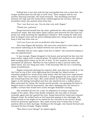Pulling him to her she took his lips and guided him into a slow kiss. Her tongue pushed pass his full lips to seek entry. Their tongues slid by one another dancing erotically. Her head swooned. The throbbing returned between her legs and she instinctively rubbed against his erection. She was breathless when she pushed away from him.

"Yes, I see that you can. You do that very well, Negasi."

"Thank you, princess."

Kengi lowered herself into the chair, gathered her skirt and pulled it high around her waist. She had taken Talia's advice and removed the hair from her pussy not really knowing the significance behind it. Now seeing the wide eyed look on Negasi's face and his penis bobbing before her, Kengi knew she would keep it this way from now on.

"Let's see if you are just as proficient with these lips."

This time Negasi did hesitate. His eyes were stretched to their limits. He was almost salivating as he looked between her and the door.

"Kamilah will not enter again until she is called," she muttered hoping to ease his apprehension.

It was enough. Negasi dropped to his knees and pressed his face into her dewy nether region with a relieved groan. He licked and sucked on her delicate folds sending joyful noises up for her to hear. To her surprise the sounds increased her pleasure. Whether he was trained or had a natural talent she didn't know, but one thing was clear. It felt heavenly! She let out a stuttering moan of satisfaction.

Negasi continued showing his superior skill, and when he suckled on the tiny bud on top of her vulva lightening shot through her blood stream. A sensation gripped her senses from deep within that she had never experienced before. There were no words to describe it. Kengi gripped the arm rests for fear she would leap from the chair. She could almost see herself rising higher and higher as the feeling intensified and then she shattered into a million pieces. Bliss saturated her being. Her hands moved quickly, one grasping the back of Negasi's head to still his movements, the other clamping over her mouth to muffle a scream that would have surely brought Kamiliah running.

She trembled all over for a time as shimmers of ecstasy traveled the length of her spine. When they finally subsided, she was able to breathe normally again and she opened her eyes. Kengi lowered her hand and released Negasi's head. He settled back on his haunches gazing at her adoringly. His hands rested on his thighs as he waited for her reaction to his service. Kengi loved his prostrate appearance. She made mental note to keep him in that position often in their marriage. Smiling at the thought, she leaned forward and caressed his face lovingly. Negasi smiled.

"Was that to your liking?" he asked eagerly.